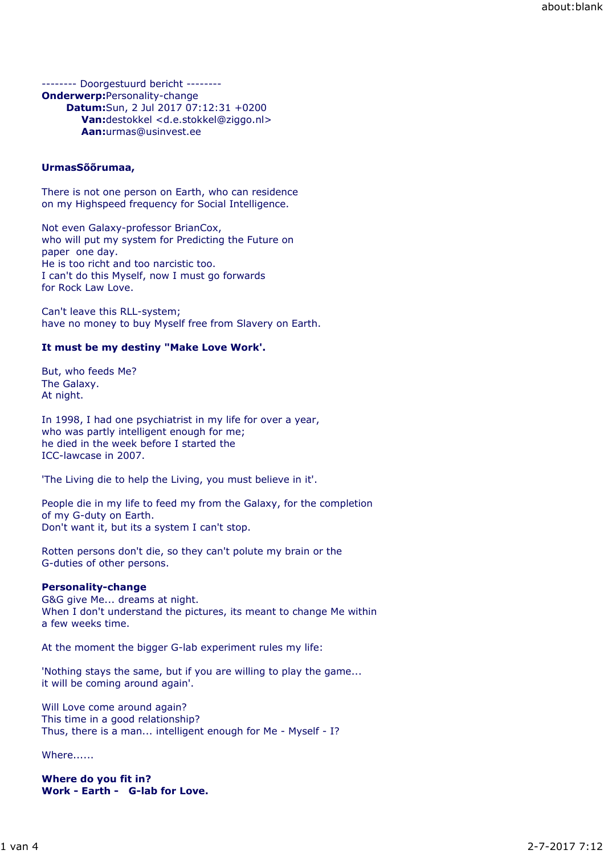-------- Doorgestuurd bericht -------- **Onderwerp:**Personality-change **Datum:**Sun, 2 Jul 2017 07:12:31 +0200 **Van:**destokkel <d.e.stokkel@ziggo.nl> **Aan:**urmas@usinvest.ee

### **UrmasSõõrumaa,**

There is not one person on Earth, who can residence on my Highspeed frequency for Social Intelligence.

Not even Galaxy-professor BrianCox, who will put my system for Predicting the Future on paper one day. He is too richt and too narcistic too. I can't do this Myself, now I must go forwards for Rock Law Love.

Can't leave this RLL-system; have no money to buy Myself free from Slavery on Earth.

### **It must be my destiny "Make Love Work'.**

But, who feeds Me? The Galaxy. At night.

In 1998, I had one psychiatrist in my life for over a year, who was partly intelligent enough for me; he died in the week before I started the ICC-lawcase in 2007.

'The Living die to help the Living, you must believe in it'.

People die in my life to feed my from the Galaxy, for the completion of my G-duty on Earth. Don't want it, but its a system I can't stop.

Rotten persons don't die, so they can't polute my brain or the G-duties of other persons.

#### **Personality-change**

G&G give Me... dreams at night. When I don't understand the pictures, its meant to change Me within a few weeks time.

At the moment the bigger G-lab experiment rules my life:

'Nothing stays the same, but if you are willing to play the game... it will be coming around again'.

Will Love come around again? This time in a good relationship? Thus, there is a man... intelligent enough for Me - Myself - I?

Where......

**Where do you fit in? Work - Earth - G-lab for Love.**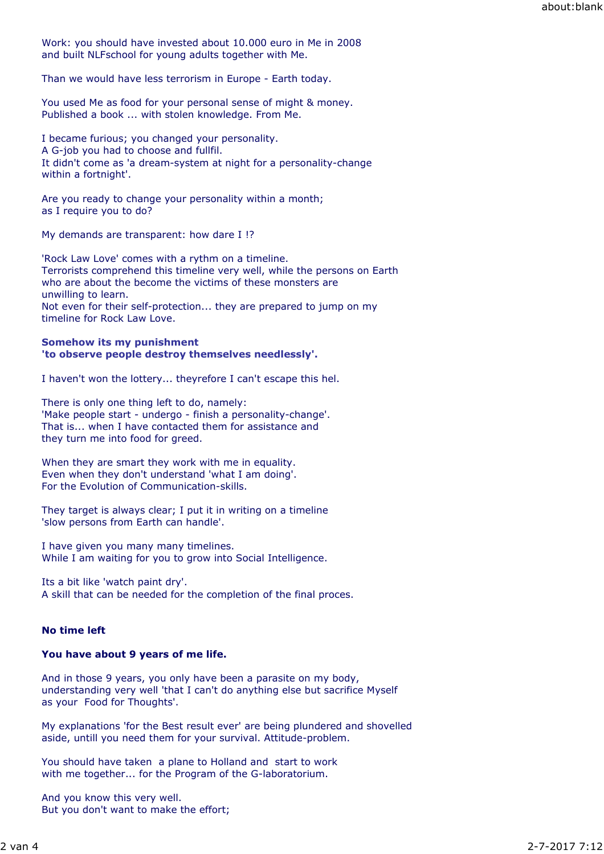Work: you should have invested about 10.000 euro in Me in 2008 and built NLFschool for young adults together with Me.

Than we would have less terrorism in Europe - Earth today.

You used Me as food for your personal sense of might & money. Published a book ... with stolen knowledge. From Me.

I became furious; you changed your personality. A G-job you had to choose and fullfil. It didn't come as 'a dream-system at night for a personality-change within a fortnight'.

Are you ready to change your personality within a month; as I require you to do?

My demands are transparent: how dare I !?

'Rock Law Love' comes with a rythm on a timeline. Terrorists comprehend this timeline very well, while the persons on Earth who are about the become the victims of these monsters are unwilling to learn. Not even for their self-protection... they are prepared to jump on my timeline for Rock Law Love.

### **Somehow its my punishment 'to observe people destroy themselves needlessly'.**

I haven't won the lottery... theyrefore I can't escape this hel.

There is only one thing left to do, namely: 'Make people start - undergo - finish a personality-change'. That is... when I have contacted them for assistance and they turn me into food for greed.

When they are smart they work with me in equality. Even when they don't understand 'what I am doing'. For the Evolution of Communication-skills.

They target is always clear; I put it in writing on a timeline 'slow persons from Earth can handle'.

I have given you many many timelines. While I am waiting for you to grow into Social Intelligence.

Its a bit like 'watch paint dry'. A skill that can be needed for the completion of the final proces.

# **No time left**

### **You have about 9 years of me life.**

And in those 9 years, you only have been a parasite on my body, understanding very well 'that I can't do anything else but sacrifice Myself as your Food for Thoughts'.

My explanations 'for the Best result ever' are being plundered and shovelled aside, untill you need them for your survival. Attitude-problem.

You should have taken a plane to Holland and start to work with me together... for the Program of the G-laboratorium.

And you know this very well. But you don't want to make the effort;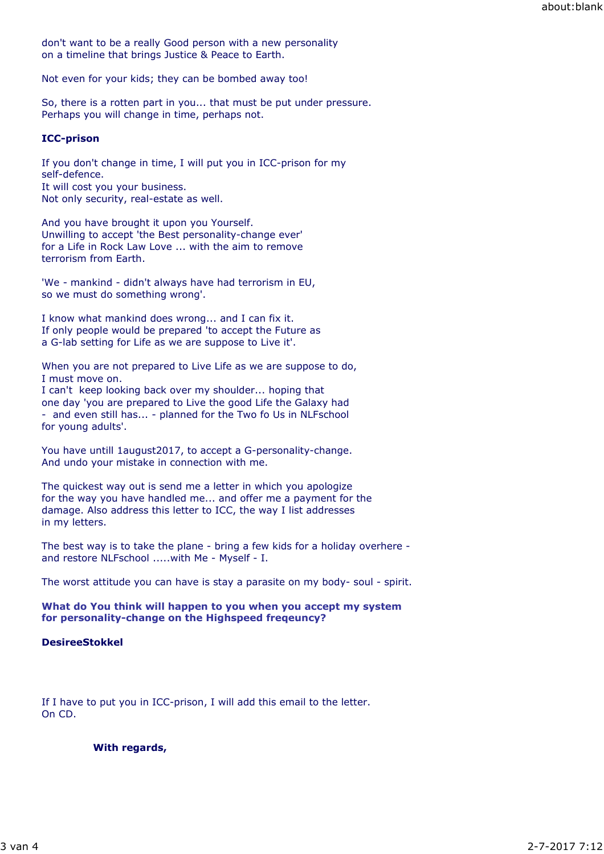don't want to be a really Good person with a new personality on a timeline that brings Justice & Peace to Earth.

Not even for your kids; they can be bombed away too!

So, there is a rotten part in you... that must be put under pressure. Perhaps you will change in time, perhaps not.

# **ICC-prison**

If you don't change in time, I will put you in ICC-prison for my self-defence. It will cost you your business. Not only security, real-estate as well.

And you have brought it upon you Yourself. Unwilling to accept 'the Best personality-change ever' for a Life in Rock Law Love ... with the aim to remove terrorism from Earth.

'We - mankind - didn't always have had terrorism in EU, so we must do something wrong'.

I know what mankind does wrong... and I can fix it. If only people would be prepared 'to accept the Future as a G-lab setting for Life as we are suppose to Live it'.

When you are not prepared to Live Life as we are suppose to do, I must move on.

I can't keep looking back over my shoulder... hoping that one day 'you are prepared to Live the good Life the Galaxy had - and even still has... - planned for the Two fo Us in NLFschool for young adults'.

You have untill 1august2017, to accept a G-personality-change. And undo your mistake in connection with me.

The quickest way out is send me a letter in which you apologize for the way you have handled me... and offer me a payment for the damage. Also address this letter to ICC, the way I list addresses in my letters.

The best way is to take the plane - bring a few kids for a holiday overhere and restore NLFschool .....with Me - Myself - I.

The worst attitude you can have is stay a parasite on my body- soul - spirit.

**What do You think will happen to you when you accept my system for personality-change on the Highspeed freqeuncy?**

# **DesireeStokkel**

If I have to put you in ICC-prison, I will add this email to the letter. On CD.

### **With regards,**